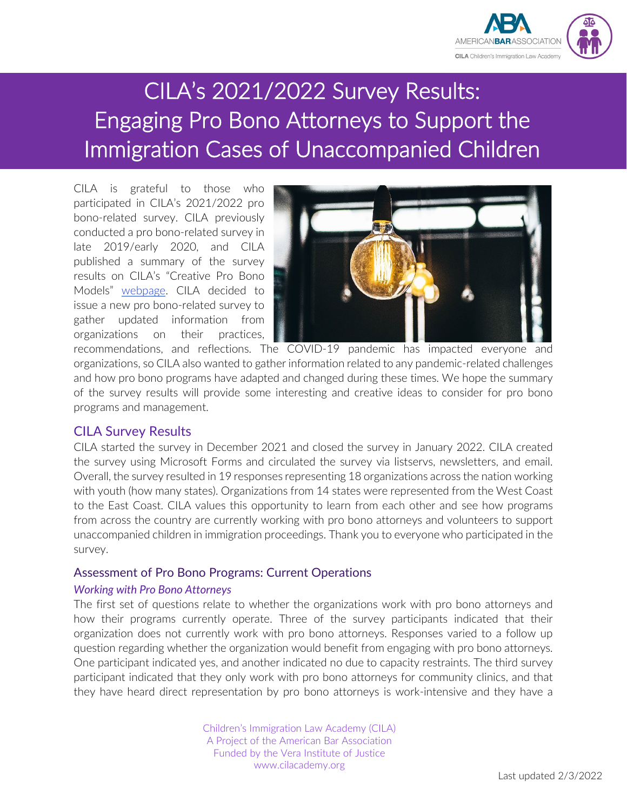

# CILA's 2021/2022 Survey Results: Engaging Pro Bono Attorneys to Support the Immigration Cases of Unaccompanied Children

CILA is grateful to those who participated in CILA's 2021/2022 pro bono-related survey. CILA previously conducted a pro bono-related survey in late 2019/early 2020, and CILA published a summary of the survey results on CILA's "Creative Pro Bono Models" [webpage.](https://cilacademy.org/pro-bono/creative-models/) CILA decided to issue a new pro bono-related survey to gather updated information from organizations on their practices,



recommendations, and reflections. The COVID-19 pandemic has impacted everyone and organizations, so CILA also wanted to gather information related to any pandemic-related challenges and how pro bono programs have adapted and changed during these times. We hope the summary of the survey results will provide some interesting and creative ideas to consider for pro bono programs and management.

# CILA Survey Results

CILA started the survey in December 2021 and closed the survey in January 2022. CILA created the survey using Microsoft Forms and circulated the survey via listservs, newsletters, and email. Overall, the survey resulted in 19 responses representing 18 organizations across the nation working with youth (how many states). Organizations from 14 states were represented from the West Coast to the East Coast. CILA values this opportunity to learn from each other and see how programs from across the country are currently working with pro bono attorneys and volunteers to support unaccompanied children in immigration proceedings. Thank you to everyone who participated in the survey.

#### Assessment of Pro Bono Programs: Current Operations

#### *Working with Pro Bono Attorneys*

The first set of questions relate to whether the organizations work with pro bono attorneys and how their programs currently operate. Three of the survey participants indicated that their organization does not currently work with pro bono attorneys. Responses varied to a follow up question regarding whether the organization would benefit from engaging with pro bono attorneys. One participant indicated yes, and another indicated no due to capacity restraints. The third survey participant indicated that they only work with pro bono attorneys for community clinics, and that they have heard direct representation by pro bono attorneys is work-intensive and they have a

> Children's Immigration Law Academy (CILA) A Project of the American Bar Association Funded by the Vera Institute of Justice www.cilacademy.org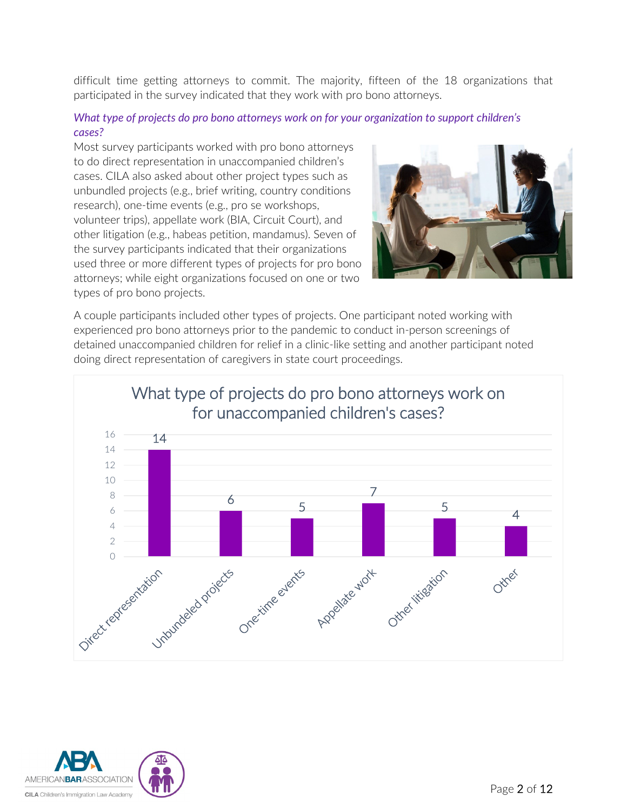difficult time getting attorneys to commit. The majority, fifteen of the 18 organizations that participated in the survey indicated that they work with pro bono attorneys.

#### *What type of projects do pro bono attorneys work on for your organization to support children's cases?*

Most survey participants worked with pro bono attorneys to do direct representation in unaccompanied children's cases. CILA also asked about other project types such as unbundled projects (e.g., brief writing, country conditions research), one-time events (e.g., pro se workshops, volunteer trips), appellate work (BIA, Circuit Court), and other litigation (e.g., habeas petition, mandamus). Seven of the survey participants indicated that their organizations used three or more different types of projects for pro bono attorneys; while eight organizations focused on one or two types of pro bono projects.



A couple participants included other types of projects. One participant noted working with experienced pro bono attorneys prior to the pandemic to conduct in-person screenings of detained unaccompanied children for relief in a clinic-like setting and another participant noted doing direct representation of caregivers in state court proceedings.



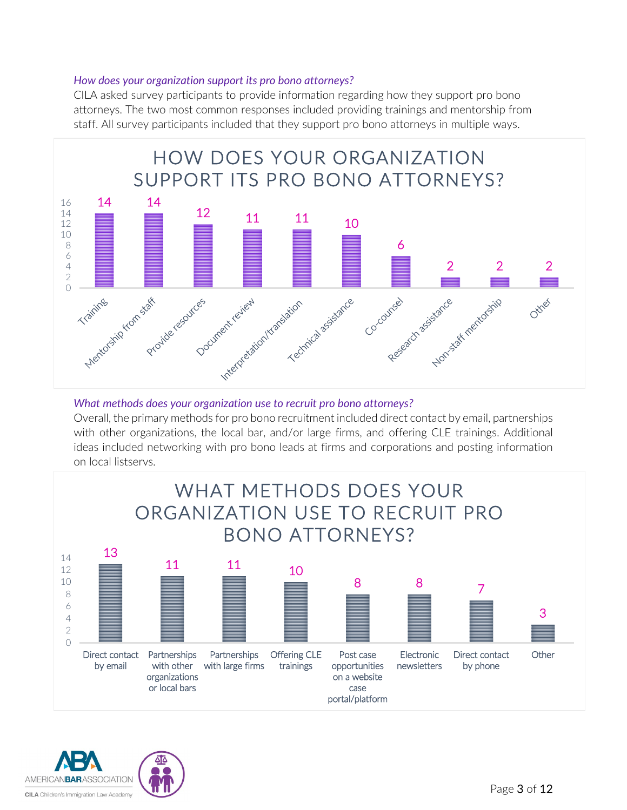#### *How does your organization support its pro bono attorneys?*

CILA asked survey participants to provide information regarding how they support pro bono attorneys. The two most common responses included providing trainings and mentorship from staff. All survey participants included that they support pro bono attorneys in multiple ways.



#### *What methods does your organization use to recruit pro bono attorneys?*

Overall, the primary methods for pro bono recruitment included direct contact by email, partnerships with other organizations, the local bar, and/or large firms, and offering CLE trainings. Additional ideas included networking with pro bono leads at firms and corporations and posting information on local listservs.



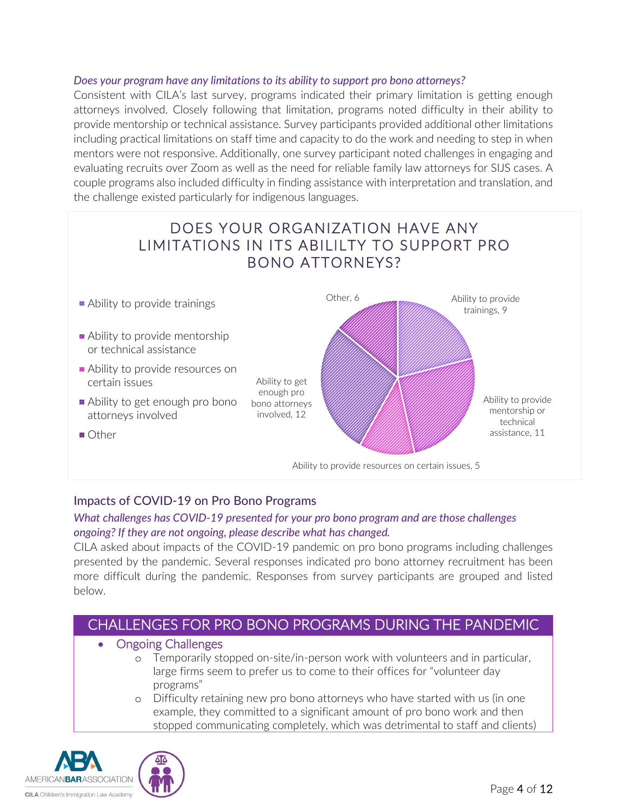#### *Does your program have any limitations to its ability to support pro bono attorneys?*

Consistent with CILA's last survey, programs indicated their primary limitation is getting enough attorneys involved. Closely following that limitation, programs noted difficulty in their ability to provide mentorship or technical assistance. Survey participants provided additional other limitations including practical limitations on staff time and capacity to do the work and needing to step in when mentors were not responsive. Additionally, one survey participant noted challenges in engaging and evaluating recruits over Zoom as well as the need for reliable family law attorneys for SIJS cases. A couple programs also included difficulty in finding assistance with interpretation and translation, and the challenge existed particularly for indigenous languages.



# Impacts of COVID-19 on Pro Bono Programs

#### *What challenges has COVID-19 presented for your pro bono program and are those challenges ongoing? If they are not ongoing, please describe what has changed.*

CILA asked about impacts of the COVID-19 pandemic on pro bono programs including challenges presented by the pandemic. Several responses indicated pro bono attorney recruitment has been more difficult during the pandemic. Responses from survey participants are grouped and listed below.

# CHALLENGES FOR PRO BONO PROGRAMS DURING THE PANDEMIC

#### • Ongoing Challenges

- o Temporarily stopped on-site/in-person work with volunteers and in particular, large firms seem to prefer us to come to their offices for "volunteer day programs"
- o Difficulty retaining new pro bono attorneys who have started with us (in one example, they committed to a significant amount of pro bono work and then stopped communicating completely, which was detrimental to staff and clients)

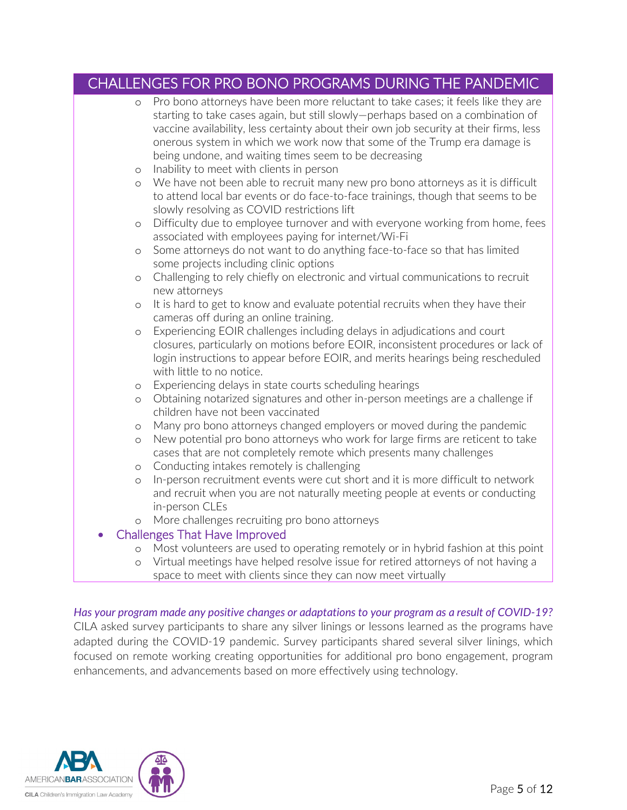# CHALLENGES FOR PRO BONO PROGRAMS DURING THE PANDEMIC

| $\circ$ | Pro bono attorneys have been more reluctant to take cases; it feels like they are                                                                                          |
|---------|----------------------------------------------------------------------------------------------------------------------------------------------------------------------------|
|         | starting to take cases again, but still slowly-perhaps based on a combination of<br>vaccine availability, less certainty about their own job security at their firms, less |
|         | onerous system in which we work now that some of the Trump era damage is                                                                                                   |
|         | being undone, and waiting times seem to be decreasing                                                                                                                      |
| $\circ$ | Inability to meet with clients in person                                                                                                                                   |
| $\circ$ | We have not been able to recruit many new pro bono attorneys as it is difficult                                                                                            |
|         | to attend local bar events or do face-to-face trainings, though that seems to be                                                                                           |
|         | slowly resolving as COVID restrictions lift                                                                                                                                |
| $\circ$ | Difficulty due to employee turnover and with everyone working from home, fees                                                                                              |
|         | associated with employees paying for internet/Wi-Fi                                                                                                                        |
| $\circ$ | Some attorneys do not want to do anything face-to-face so that has limited                                                                                                 |
|         | some projects including clinic options                                                                                                                                     |
| $\circ$ | Challenging to rely chiefly on electronic and virtual communications to recruit<br>new attorneys                                                                           |
| $\circ$ | It is hard to get to know and evaluate potential recruits when they have their                                                                                             |
|         | cameras off during an online training.                                                                                                                                     |
| $\circ$ | Experiencing EOIR challenges including delays in adjudications and court                                                                                                   |
|         | closures, particularly on motions before EOIR, inconsistent procedures or lack of                                                                                          |
|         | login instructions to appear before EOIR, and merits hearings being rescheduled                                                                                            |
|         | with little to no notice.                                                                                                                                                  |
| $\circ$ | Experiencing delays in state courts scheduling hearings                                                                                                                    |
| $\circ$ | Obtaining notarized signatures and other in-person meetings are a challenge if                                                                                             |
|         | children have not been vaccinated                                                                                                                                          |
| $\circ$ | Many pro bono attorneys changed employers or moved during the pandemic<br>New potential pro bono attorneys who work for large firms are reticent to take                   |
| $\circ$ | cases that are not completely remote which presents many challenges                                                                                                        |
| $\circ$ | Conducting intakes remotely is challenging                                                                                                                                 |
| $\circ$ | In-person recruitment events were cut short and it is more difficult to network                                                                                            |
|         | and recruit when you are not naturally meeting people at events or conducting                                                                                              |
|         | in-person CLEs                                                                                                                                                             |
| $\circ$ | More challenges recruiting pro bono attorneys                                                                                                                              |
|         | <b>Challenges That Have Improved</b>                                                                                                                                       |
| $\circ$ | Most volunteers are used to operating remotely or in hybrid fashion at this point                                                                                          |
| $\circ$ | Virtual meetings have helped resolve issue for retired attorneys of not having a                                                                                           |
|         | space to meet with clients since they can now meet virtually                                                                                                               |

*Has your program made any positive changes or adaptations to your program as a result of COVID-19?*  CILA asked survey participants to share any silver linings or lessons learned as the programs have adapted during the COVID-19 pandemic. Survey participants shared several silver linings, which focused on remote working creating opportunities for additional pro bono engagement, program enhancements, and advancements based on more effectively using technology.

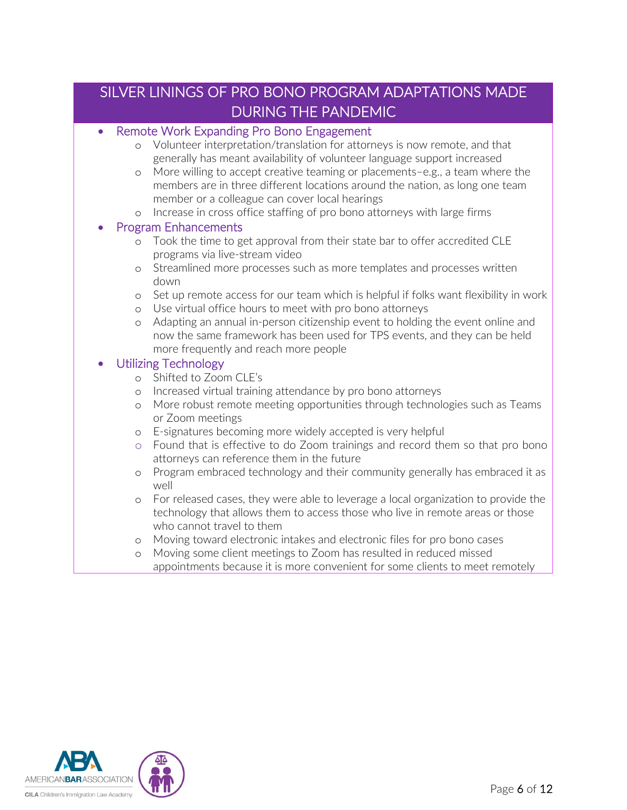# SILVER LININGS OF PRO BONO PROGRAM ADAPTATIONS MADE DURING THE PANDEMIC

#### • Remote Work Expanding Pro Bono Engagement

- o Volunteer interpretation/translation for attorneys is now remote, and that generally has meant availability of volunteer language support increased
- o More willing to accept creative teaming or placements–e.g., a team where the members are in three different locations around the nation, as long one team member or a colleague can cover local hearings
- o Increase in cross office staffing of pro bono attorneys with large firms

#### • Program Enhancements

- o Took the time to get approval from their state bar to offer accredited CLE programs via live-stream video
- o Streamlined more processes such as more templates and processes written down
- o Set up remote access for our team which is helpful if folks want flexibility in work
- o Use virtual office hours to meet with pro bono attorneys
- o Adapting an annual in-person citizenship event to holding the event online and now the same framework has been used for TPS events, and they can be held more frequently and reach more people

# • Utilizing Technology

- o Shifted to Zoom CLE's
- o Increased virtual training attendance by pro bono attorneys
- o More robust remote meeting opportunities through technologies such as Teams or Zoom meetings
- o E-signatures becoming more widely accepted is very helpful
- o Found that is effective to do Zoom trainings and record them so that pro bono attorneys can reference them in the future
- o Program embraced technology and their community generally has embraced it as well
- o For released cases, they were able to leverage a local organization to provide the technology that allows them to access those who live in remote areas or those who cannot travel to them
- o Moving toward electronic intakes and electronic files for pro bono cases
- o Moving some client meetings to Zoom has resulted in reduced missed appointments because it is more convenient for some clients to meet remotely

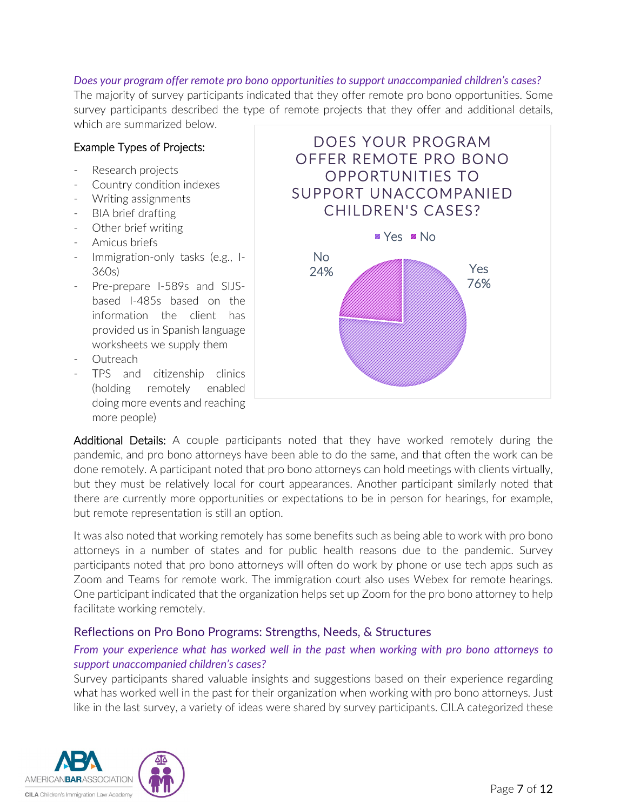#### *Does your program offer remote pro bono opportunities to support unaccompanied children's cases?*

The majority of survey participants indicated that they offer remote pro bono opportunities. Some survey participants described the type of remote projects that they offer and additional details, which are summarized below.

#### Example Types of Projects:

- Research projects
- Country condition indexes
- Writing assignments
- BIA brief drafting
- Other brief writing
- Amicus briefs
- Immigration-only tasks (e.g., I-360s)
- Pre-prepare I-589s and SIJSbased I-485s based on the information the client has provided us in Spanish language worksheets we supply them
- **Outreach**
- TPS and citizenship clinics (holding remotely enabled doing more events and reaching more people)



Additional Details: A couple participants noted that they have worked remotely during the pandemic, and pro bono attorneys have been able to do the same, and that often the work can be done remotely. A participant noted that pro bono attorneys can hold meetings with clients virtually, but they must be relatively local for court appearances. Another participant similarly noted that there are currently more opportunities or expectations to be in person for hearings, for example, but remote representation is still an option.

It was also noted that working remotely has some benefits such as being able to work with pro bono attorneys in a number of states and for public health reasons due to the pandemic. Survey participants noted that pro bono attorneys will often do work by phone or use tech apps such as Zoom and Teams for remote work. The immigration court also uses Webex for remote hearings. One participant indicated that the organization helps set up Zoom for the pro bono attorney to help facilitate working remotely.

# Reflections on Pro Bono Programs: Strengths, Needs, & Structures

# *From your experience what has worked well in the past when working with pro bono attorneys to support unaccompanied children's cases?*

Survey participants shared valuable insights and suggestions based on their experience regarding what has worked well in the past for their organization when working with pro bono attorneys. Just like in the last survey, a variety of ideas were shared by survey participants. CILA categorized these

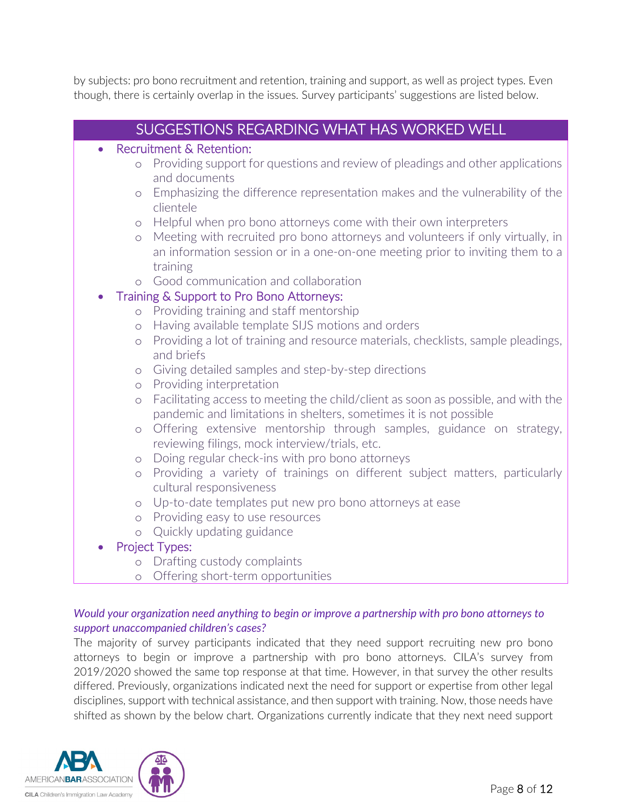by subjects: pro bono recruitment and retention, training and support, as well as project types. Even though, there is certainly overlap in the issues. Survey participants' suggestions are listed below.

|                                                               | SUGGESTIONS REGARDING WHAT HAS WORKED WELL                                        |  |
|---------------------------------------------------------------|-----------------------------------------------------------------------------------|--|
|                                                               | Recruitment & Retention:                                                          |  |
| $\circ$                                                       | Providing support for questions and review of pleadings and other applications    |  |
|                                                               | and documents                                                                     |  |
| $\circ$                                                       | Emphasizing the difference representation makes and the vulnerability of the      |  |
|                                                               | clientele                                                                         |  |
| $\circ$                                                       | Helpful when pro bono attorneys come with their own interpreters                  |  |
| $\circ$                                                       | Meeting with recruited pro bono attorneys and volunteers if only virtually, in    |  |
|                                                               | an information session or in a one-on-one meeting prior to inviting them to a     |  |
|                                                               | training<br>Good communication and collaboration                                  |  |
| $\circ$<br>Training & Support to Pro Bono Attorneys:          |                                                                                   |  |
| $\circ$                                                       | Providing training and staff mentorship                                           |  |
| $\circ$                                                       | Having available template SIJS motions and orders                                 |  |
| $\circlearrowright$                                           | Providing a lot of training and resource materials, checklists, sample pleadings, |  |
|                                                               | and briefs                                                                        |  |
| $\circ$                                                       | Giving detailed samples and step-by-step directions                               |  |
| $\circlearrowright$                                           | Providing interpretation                                                          |  |
| $\circlearrowright$                                           | Facilitating access to meeting the child/client as soon as possible, and with the |  |
|                                                               | pandemic and limitations in shelters, sometimes it is not possible                |  |
| $\circlearrowright$                                           | Offering extensive mentorship through samples, guidance on strategy,              |  |
|                                                               | reviewing filings, mock interview/trials, etc.                                    |  |
| $\circ$                                                       | Doing regular check-ins with pro bono attorneys                                   |  |
| $\circ$                                                       | Providing a variety of trainings on different subject matters, particularly       |  |
|                                                               | cultural responsiveness                                                           |  |
| $\circ$                                                       | Up-to-date templates put new pro bono attorneys at ease                           |  |
| $\circ$                                                       | Providing easy to use resources                                                   |  |
| Quickly updating guidance<br>$\circ$<br><b>Project Types:</b> |                                                                                   |  |
| $\circ$                                                       | Drafting custody complaints                                                       |  |
|                                                               |                                                                                   |  |
| $\circ$                                                       | Offering short-term opportunities                                                 |  |

# *Would your organization need anything to begin or improve a partnership with pro bono attorneys to support unaccompanied children's cases?*

The majority of survey participants indicated that they need support recruiting new pro bono attorneys to begin or improve a partnership with pro bono attorneys. CILA's survey from 2019/2020 showed the same top response at that time. However, in that survey the other results differed. Previously, organizations indicated next the need for support or expertise from other legal disciplines, support with technical assistance, and then support with training. Now, those needs have shifted as shown by the below chart. Organizations currently indicate that they next need support

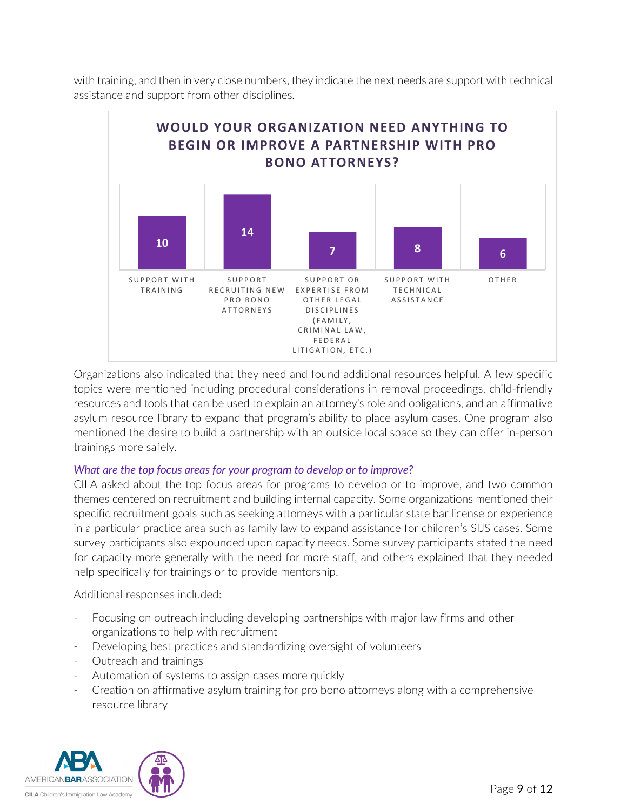with training, and then in very close numbers, they indicate the next needs are support with technical assistance and support from other disciplines.



Organizations also indicated that they need and found additional resources helpful. A few specific topics were mentioned including procedural considerations in removal proceedings, child-friendly resources and tools that can be used to explain an attorney's role and obligations, and an affirmative asylum resource library to expand that program's ability to place asylum cases. One program also mentioned the desire to build a partnership with an outside local space so they can offer in-person trainings more safely.

#### *What are the top focus areas for your program to develop or to improve?*

CILA asked about the top focus areas for programs to develop or to improve, and two common themes centered on recruitment and building internal capacity. Some organizations mentioned their specific recruitment goals such as seeking attorneys with a particular state bar license or experience in a particular practice area such as family law to expand assistance for children's SIJS cases. Some survey participants also expounded upon capacity needs. Some survey participants stated the need for capacity more generally with the need for more staff, and others explained that they needed help specifically for trainings or to provide mentorship.

Additional responses included:

- Focusing on outreach including developing partnerships with major law firms and other organizations to help with recruitment
- Developing best practices and standardizing oversight of volunteers
- Outreach and trainings
- Automation of systems to assign cases more quickly
- Creation on affirmative asylum training for pro bono attorneys along with a comprehensive resource library

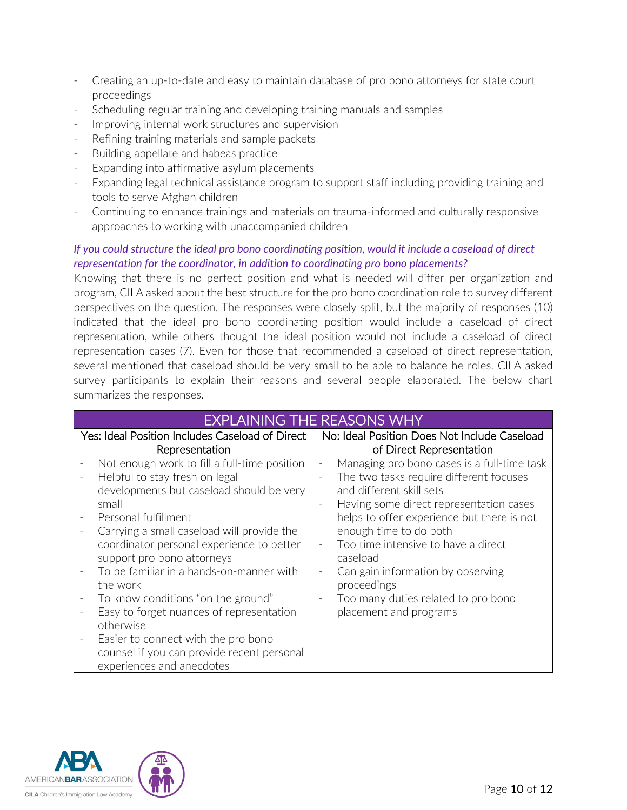- Creating an up-to-date and easy to maintain database of pro bono attorneys for state court proceedings
- Scheduling regular training and developing training manuals and samples
- Improving internal work structures and supervision
- Refining training materials and sample packets
- Building appellate and habeas practice
- Expanding into affirmative asylum placements
- Expanding legal technical assistance program to support staff including providing training and tools to serve Afghan children
- Continuing to enhance trainings and materials on trauma-informed and culturally responsive approaches to working with unaccompanied children

# *If you could structure the ideal pro bono coordinating position, would it include a caseload of direct representation for the coordinator, in addition to coordinating pro bono placements?*

Knowing that there is no perfect position and what is needed will differ per organization and program, CILA asked about the best structure for the pro bono coordination role to survey different perspectives on the question. The responses were closely split, but the majority of responses (10) indicated that the ideal pro bono coordinating position would include a caseload of direct representation, while others thought the ideal position would not include a caseload of direct representation cases (7). Even for those that recommended a caseload of direct representation, several mentioned that caseload should be very small to be able to balance he roles. CILA asked survey participants to explain their reasons and several people elaborated. The below chart summarizes the responses.

| <b>EXPLAINING THE REASONS WHY</b>                                                                                                                                                                                                                                                                                                                                                                                                                                                                   |                                                                                                                                                                                                                                                                                                                                                                                                                                                                |  |  |
|-----------------------------------------------------------------------------------------------------------------------------------------------------------------------------------------------------------------------------------------------------------------------------------------------------------------------------------------------------------------------------------------------------------------------------------------------------------------------------------------------------|----------------------------------------------------------------------------------------------------------------------------------------------------------------------------------------------------------------------------------------------------------------------------------------------------------------------------------------------------------------------------------------------------------------------------------------------------------------|--|--|
| Yes: Ideal Position Includes Caseload of Direct                                                                                                                                                                                                                                                                                                                                                                                                                                                     | No: Ideal Position Does Not Include Caseload                                                                                                                                                                                                                                                                                                                                                                                                                   |  |  |
| Representation                                                                                                                                                                                                                                                                                                                                                                                                                                                                                      | of Direct Representation                                                                                                                                                                                                                                                                                                                                                                                                                                       |  |  |
| Not enough work to fill a full-time position<br>Helpful to stay fresh on legal<br>developments but caseload should be very<br>small<br>Personal fulfillment<br>Carrying a small caseload will provide the<br>$\overline{\phantom{a}}$<br>coordinator personal experience to better<br>support pro bono attorneys<br>To be familiar in a hands-on-manner with<br>the work<br>To know conditions "on the ground"<br>$\overline{\phantom{a}}$<br>Easy to forget nuances of representation<br>otherwise | Managing pro bono cases is a full-time task<br>The two tasks require different focuses<br>and different skill sets<br>Having some direct representation cases<br>$\overline{\phantom{a}}$<br>helps to offer experience but there is not<br>enough time to do both<br>Too time intensive to have a direct<br>caseload<br>Can gain information by observing<br>proceedings<br>Too many duties related to pro bono<br>$\qquad \qquad -$<br>placement and programs |  |  |
| Easier to connect with the pro bono<br>counsel if you can provide recent personal<br>experiences and anecdotes                                                                                                                                                                                                                                                                                                                                                                                      |                                                                                                                                                                                                                                                                                                                                                                                                                                                                |  |  |

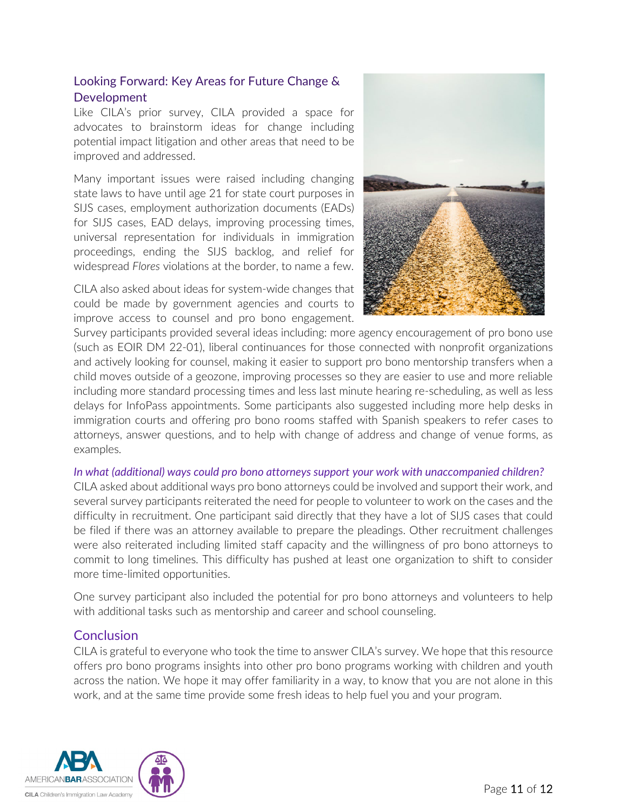# Looking Forward: Key Areas for Future Change & Development

Like CILA's prior survey, CILA provided a space for advocates to brainstorm ideas for change including potential impact litigation and other areas that need to be improved and addressed.

Many important issues were raised including changing state laws to have until age 21 for state court purposes in SIJS cases, employment authorization documents (EADs) for SIJS cases, EAD delays, improving processing times, universal representation for individuals in immigration proceedings, ending the SIJS backlog, and relief for widespread *Flores* violations at the border, to name a few.

CILA also asked about ideas for system-wide changes that could be made by government agencies and courts to improve access to counsel and pro bono engagement.



Survey participants provided several ideas including: more agency encouragement of pro bono use (such as EOIR DM 22-01), liberal continuances for those connected with nonprofit organizations and actively looking for counsel, making it easier to support pro bono mentorship transfers when a child moves outside of a geozone, improving processes so they are easier to use and more reliable including more standard processing times and less last minute hearing re-scheduling, as well as less delays for InfoPass appointments. Some participants also suggested including more help desks in immigration courts and offering pro bono rooms staffed with Spanish speakers to refer cases to attorneys, answer questions, and to help with change of address and change of venue forms, as examples.

#### *In what (additional) ways could pro bono attorneys support your work with unaccompanied children?*

CILA asked about additional ways pro bono attorneys could be involved and support their work, and several survey participants reiterated the need for people to volunteer to work on the cases and the difficulty in recruitment. One participant said directly that they have a lot of SIJS cases that could be filed if there was an attorney available to prepare the pleadings. Other recruitment challenges were also reiterated including limited staff capacity and the willingness of pro bono attorneys to commit to long timelines. This difficulty has pushed at least one organization to shift to consider more time-limited opportunities.

One survey participant also included the potential for pro bono attorneys and volunteers to help with additional tasks such as mentorship and career and school counseling.

# **Conclusion**

CILA is grateful to everyone who took the time to answer CILA's survey. We hope that this resource offers pro bono programs insights into other pro bono programs working with children and youth across the nation. We hope it may offer familiarity in a way, to know that you are not alone in this work, and at the same time provide some fresh ideas to help fuel you and your program.